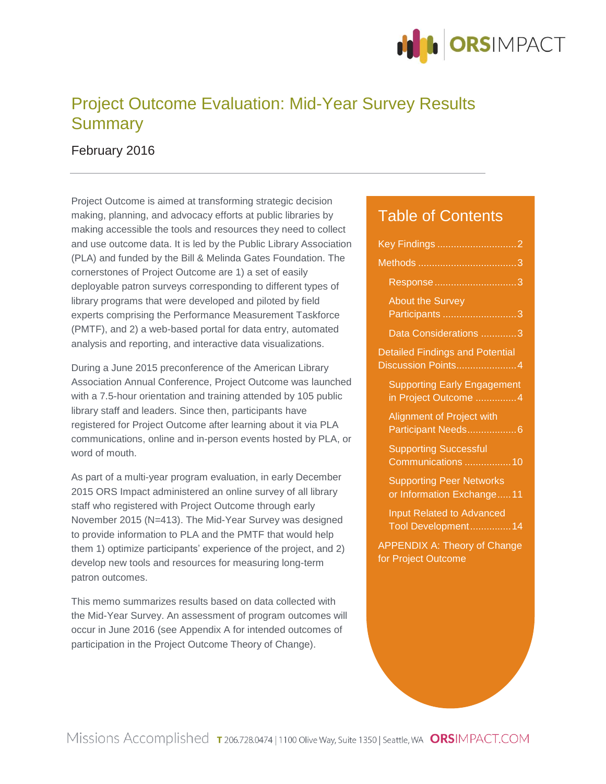

# Project Outcome Evaluation: Mid-Year Survey Results **Summary**

February 2016

Project Outcome is aimed at transforming strategic decision making, planning, and advocacy efforts at public libraries by making accessible the tools and resources they need to collect and use outcome data. It is led by the Public Library Association (PLA) and funded by the Bill & Melinda Gates Foundation. The cornerstones of Project Outcome are 1) a set of easily deployable patron surveys corresponding to different types of library programs that were developed and piloted by field experts comprising the Performance Measurement Taskforce (PMTF), and 2) a web-based portal for data entry, automated analysis and reporting, and interactive data visualizations.

During a June 2015 preconference of the American Library Association Annual Conference, Project Outcome was launched with a 7.5-hour orientation and training attended by 105 public library staff and leaders. Since then, participants have registered for Project Outcome after learning about it via PLA communications, online and in-person events hosted by PLA, or word of mouth.

As part of a multi-year program evaluation, in early December 2015 ORS Impact administered an online survey of all library staff who registered with Project Outcome through early November 2015 (N=413). The Mid-Year Survey was designed to provide information to PLA and the PMTF that would help them 1) optimize participants' experience of the project, and 2) develop new tools and resources for measuring long-term patron outcomes.

This memo summarizes results based on data collected with the Mid-Year Survey. An assessment of program outcomes will occur in June 2016 (see Appendix A for intended outcomes of participation in the Project Outcome Theory of Change).

### Table of Contents

| <b>About the Survey</b><br>Participants<br>3                 |
|--------------------------------------------------------------|
| Data Considerations 3                                        |
| <b>Detailed Findings and Potential</b><br>Discussion Points4 |
| <b>Supporting Early Engagement</b><br>in Project Outcome 4   |
| Alignment of Project with<br>Participant Needs6              |
| <b>Supporting Successful</b><br>Communications 10            |
| <b>Supporting Peer Networks</b><br>or Information Exchange11 |
| <b>Input Related to Advanced</b><br>Tool Development14       |
| <b>APPENDIX A: Theory of Change</b><br>for Project Outcome   |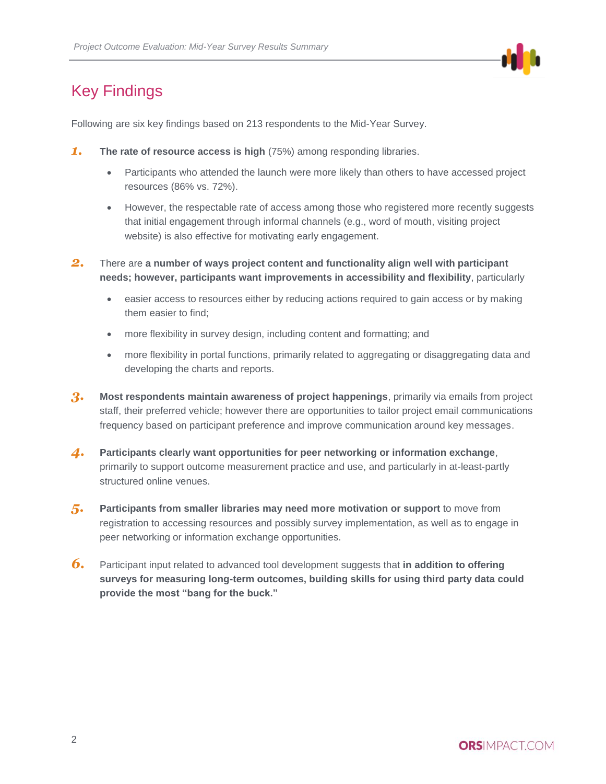

# <span id="page-1-0"></span>Key Findings

Following are six key findings based on 213 respondents to the Mid-Year Survey.

- *1.* **The rate of resource access is high** (75%) among responding libraries.
	- Participants who attended the launch were more likely than others to have accessed project resources (86% vs. 72%).
	- However, the respectable rate of access among those who registered more recently suggests that initial engagement through informal channels (e.g., word of mouth, visiting project website) is also effective for motivating early engagement.
- *2.* There are **a number of ways project content and functionality align well with participant needs; however, participants want improvements in accessibility and flexibility**, particularly
	- easier access to resources either by reducing actions required to gain access or by making them easier to find;
	- more flexibility in survey design, including content and formatting; and
	- more flexibility in portal functions, primarily related to aggregating or disaggregating data and developing the charts and reports.
- **3.** Most respondents maintain awareness of project happenings, primarily via emails from project staff, their preferred vehicle; however there are opportunities to tailor project email communications frequency based on participant preference and improve communication around key messages.
- *4.* **Participants clearly want opportunities for peer networking or information exchange**, primarily to support outcome measurement practice and use, and particularly in at-least-partly structured online venues.
- *5.* **Participants from smaller libraries may need more motivation or support** to move from registration to accessing resources and possibly survey implementation, as well as to engage in peer networking or information exchange opportunities.
- *6.* Participant input related to advanced tool development suggests that **in addition to offering surveys for measuring long-term outcomes, building skills for using third party data could provide the most "bang for the buck."**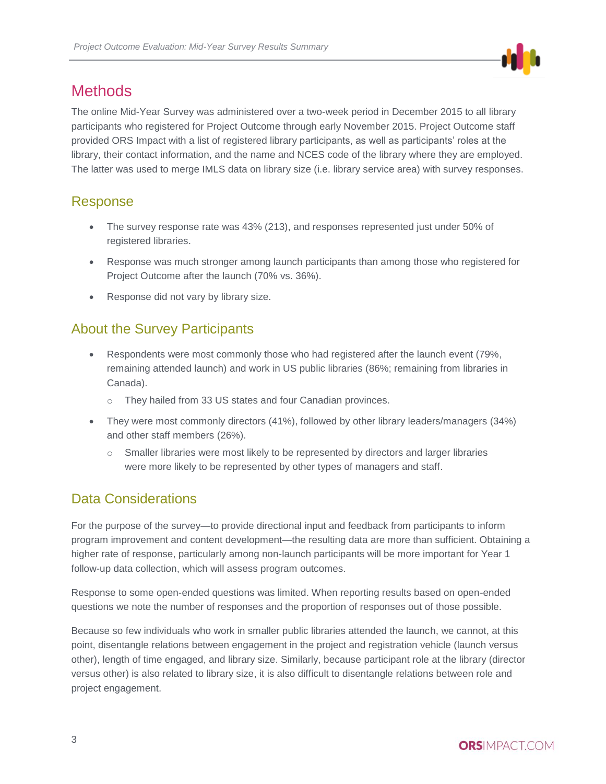# <span id="page-2-0"></span>**Methods**

The online Mid-Year Survey was administered over a two-week period in December 2015 to all library participants who registered for Project Outcome through early November 2015. Project Outcome staff provided ORS Impact with a list of registered library participants, as well as participants' roles at the library, their contact information, and the name and NCES code of the library where they are employed. The latter was used to merge IMLS data on library size (i.e. library service area) with survey responses.

## <span id="page-2-1"></span>Response

- The survey response rate was 43% (213), and responses represented just under 50% of registered libraries.
- Response was much stronger among launch participants than among those who registered for Project Outcome after the launch (70% vs. 36%).
- Response did not vary by library size.

### <span id="page-2-2"></span>About the Survey Participants

- Respondents were most commonly those who had registered after the launch event (79%, remaining attended launch) and work in US public libraries (86%; remaining from libraries in Canada).
	- o They hailed from 33 US states and four Canadian provinces.
- They were most commonly directors (41%), followed by other library leaders/managers (34%) and other staff members (26%).
	- o Smaller libraries were most likely to be represented by directors and larger libraries were more likely to be represented by other types of managers and staff.

## <span id="page-2-3"></span>Data Considerations

For the purpose of the survey—to provide directional input and feedback from participants to inform program improvement and content development—the resulting data are more than sufficient. Obtaining a higher rate of response, particularly among non-launch participants will be more important for Year 1 follow-up data collection, which will assess program outcomes.

Response to some open-ended questions was limited. When reporting results based on open-ended questions we note the number of responses and the proportion of responses out of those possible.

Because so few individuals who work in smaller public libraries attended the launch, we cannot, at this point, disentangle relations between engagement in the project and registration vehicle (launch versus other), length of time engaged, and library size. Similarly, because participant role at the library (director versus other) is also related to library size, it is also difficult to disentangle relations between role and project engagement.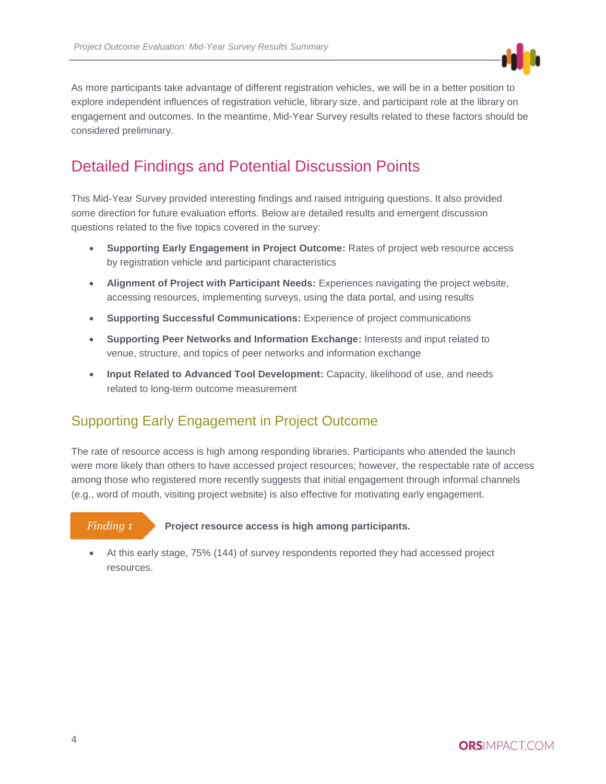

As more participants take advantage of different registration vehicles, we will be in a better position to explore independent influences of registration vehicle, library size, and participant role at the library on engagement and outcomes. In the meantime, Mid-Year Survey results related to these factors should be considered preliminary.

# <span id="page-3-0"></span>Detailed Findings and Potential Discussion Points

This Mid-Year Survey provided interesting findings and raised intriguing questions. It also provided some direction for future evaluation efforts. Below are detailed results and emergent discussion questions related to the five topics covered in the survey:

- **Supporting Early Engagement in Project Outcome:** Rates of project web resource access by registration vehicle and participant characteristics
- **Alignment of Project with Participant Needs:** Experiences navigating the project website, accessing resources, implementing surveys, using the data portal, and using results
- **Supporting Successful Communications:** Experience of project communications
- **Supporting Peer Networks and Information Exchange:** Interests and input related to venue, structure, and topics of peer networks and information exchange
- **Input Related to Advanced Tool Development:** Capacity, likelihood of use, and needs related to long-term outcome measurement

### <span id="page-3-1"></span>Supporting Early Engagement in Project Outcome

The rate of resource access is high among responding libraries. Participants who attended the launch were more likely than others to have accessed project resources; however, the respectable rate of access among those who registered more recently suggests that initial engagement through informal channels (e.g., word of mouth, visiting project website) is also effective for motivating early engagement.

#### *Finding 1*

**Project resource access is high among participants.**

 At this early stage, 75% (144) of survey respondents reported they had accessed project resources.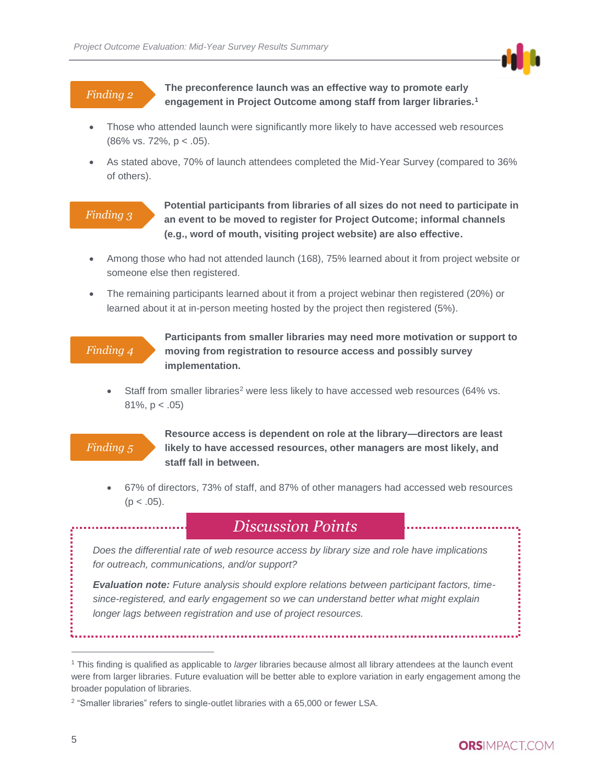

#### *Finding 2*

**The preconference launch was an effective way to promote early engagement in Project Outcome among staff from larger libraries.<sup>1</sup>**

- Those who attended launch were significantly more likely to have accessed web resources (86% vs. 72%, p < .05).
- As stated above, 70% of launch attendees completed the Mid-Year Survey (compared to 36% of others).

#### *Finding 3*

**Potential participants from libraries of all sizes do not need to participate in an event to be moved to register for Project Outcome; informal channels (e.g., word of mouth, visiting project website) are also effective.**

- Among those who had not attended launch (168), 75% learned about it from project website or someone else then registered.
- The remaining participants learned about it from a project webinar then registered (20%) or learned about it at in-person meeting hosted by the project then registered (5%).

#### *Finding 4*

**Participants from smaller libraries may need more motivation or support to moving from registration to resource access and possibly survey implementation.**

Staff from smaller libraries<sup>2</sup> were less likely to have accessed web resources (64% vs. 81%, p < .05)

#### *Finding 5*

**Resource access is dependent on role at the library—directors are least likely to have accessed resources, other managers are most likely, and staff fall in between.**

 67% of directors, 73% of staff, and 87% of other managers had accessed web resources  $(p < .05)$ .

## *Discussion Points*

*Does the differential rate of web resource access by library size and role have implications for outreach, communications, and/or support?*

*Evaluation note: Future analysis should explore relations between participant factors, timesince-registered, and early engagement so we can understand better what might explain longer lags between registration and use of project resources.* 

<sup>1</sup> This finding is qualified as applicable to *larger* libraries because almost all library attendees at the launch event were from larger libraries. Future evaluation will be better able to explore variation in early engagement among the broader population of libraries.

<sup>&</sup>lt;sup>2</sup> "Smaller libraries" refers to single-outlet libraries with a 65,000 or fewer LSA.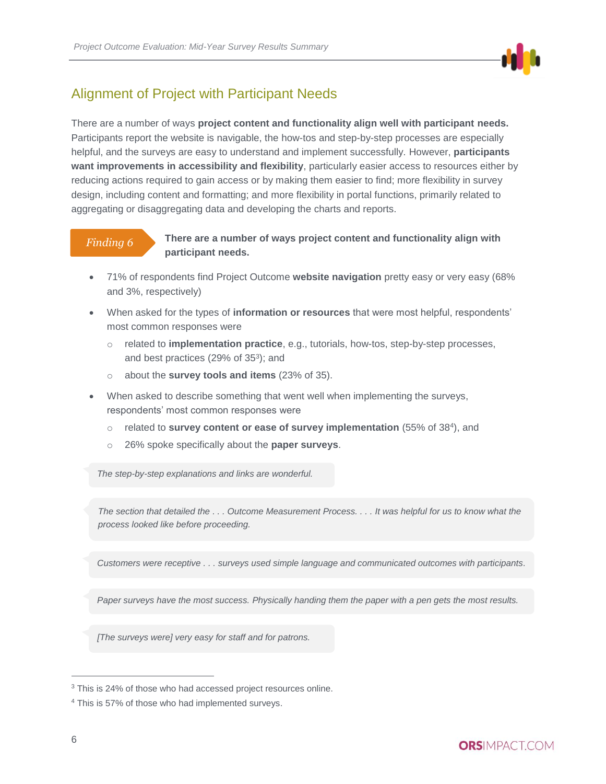

# <span id="page-5-0"></span>Alignment of Project with Participant Needs

There are a number of ways **project content and functionality align well with participant needs.**  Participants report the website is navigable, the how-tos and step-by-step processes are especially helpful, and the surveys are easy to understand and implement successfully. However, **participants want improvements in accessibility and flexibility**, particularly easier access to resources either by reducing actions required to gain access or by making them easier to find; more flexibility in survey design, including content and formatting; and more flexibility in portal functions, primarily related to aggregating or disaggregating data and developing the charts and reports.

### *Finding 6*

#### **There are a number of ways project content and functionality align with participant needs.**

- 71% of respondents find Project Outcome **website navigation** pretty easy or very easy (68% and 3%, respectively)
- When asked for the types of **information or resources** that were most helpful, respondents' most common responses were
	- o related to **implementation practice**, e.g., tutorials, how-tos, step-by-step processes, and best practices (29% of 35<sup>3</sup>); and
	- o about the **survey tools and items** (23% of 35).
- When asked to describe something that went well when implementing the surveys, respondents' most common responses were
	- o related to **survey content or ease of survey implementation** (55% of 38<sup>4</sup> ), and
	- o 26% spoke specifically about the **paper surveys**.

*The step-by-step explanations and links are wonderful.*

*The section that detailed the . . . Outcome Measurement Process. . . . It was helpful for us to know what the process looked like before proceeding.*

*Customers were receptive . . . surveys used simple language and communicated outcomes with participants.*

*Paper surveys have the most success. Physically handing them the paper with a pen gets the most results.*

*[The surveys were] very easy for staff and for patrons.*

<sup>&</sup>lt;sup>3</sup> This is 24% of those who had accessed project resources online.

<sup>4</sup> This is 57% of those who had implemented surveys.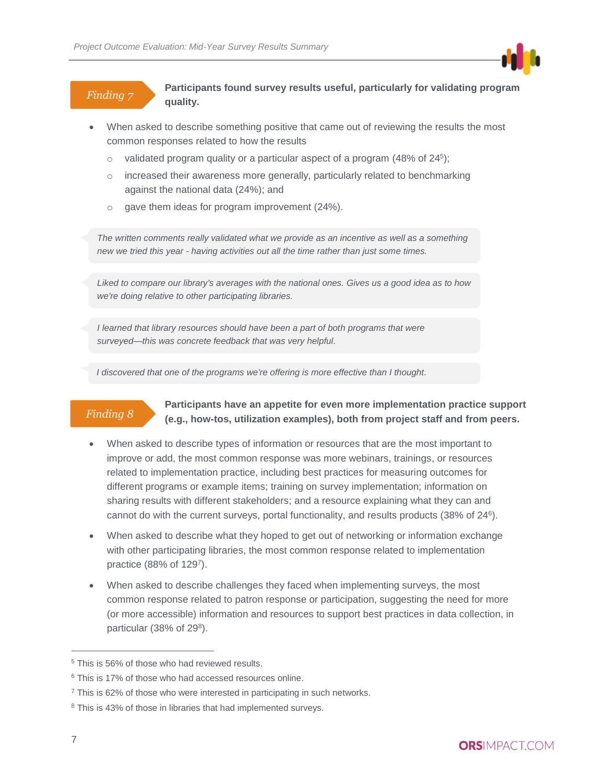### *Finding 7*

**Participants found survey results useful, particularly for validating program quality.**

- When asked to describe something positive that came out of reviewing the results the most common responses related to how the results
	- $\circ$  validated program quality or a particular aspect of a program (48% of 24<sup>5</sup>);
	- $\circ$  increased their awareness more generally, particularly related to benchmarking against the national data (24%); and
	- o gave them ideas for program improvement (24%).

*The written comments really validated what we provide as an incentive as well as a something new we tried this year - having activities out all the time rather than just some times.*

*Liked to compare our library's averages with the national ones. Gives us a good idea as to how we're doing relative to other participating libraries.*

*I learned that library resources should have been a part of both programs that were surveyed—this was concrete feedback that was very helpful.*

*I discovered that one of the programs we're offering is more effective than I thought.*

### *Finding 8*

**Participants have an appetite for even more implementation practice support (e.g., how-tos, utilization examples), both from project staff and from peers.**

- When asked to describe types of information or resources that are the most important to improve or add, the most common response was more webinars, trainings, or resources related to implementation practice, including best practices for measuring outcomes for different programs or example items; training on survey implementation; information on sharing results with different stakeholders; and a resource explaining what they can and cannot do with the current surveys, portal functionality, and results products (38% of 24<sup>6</sup> ).
- When asked to describe what they hoped to get out of networking or information exchange with other participating libraries, the most common response related to implementation practice (88% of 1297).
- When asked to describe challenges they faced when implementing surveys, the most common response related to patron response or participation, suggesting the need for more (or more accessible) information and resources to support best practices in data collection, in particular (38% of  $29<sup>8</sup>$ ).

<sup>&</sup>lt;sup>5</sup> This is 56% of those who had reviewed results.

<sup>&</sup>lt;sup>6</sup> This is 17% of those who had accessed resources online.

 $7$  This is 62% of those who were interested in participating in such networks.

<sup>&</sup>lt;sup>8</sup> This is 43% of those in libraries that had implemented surveys.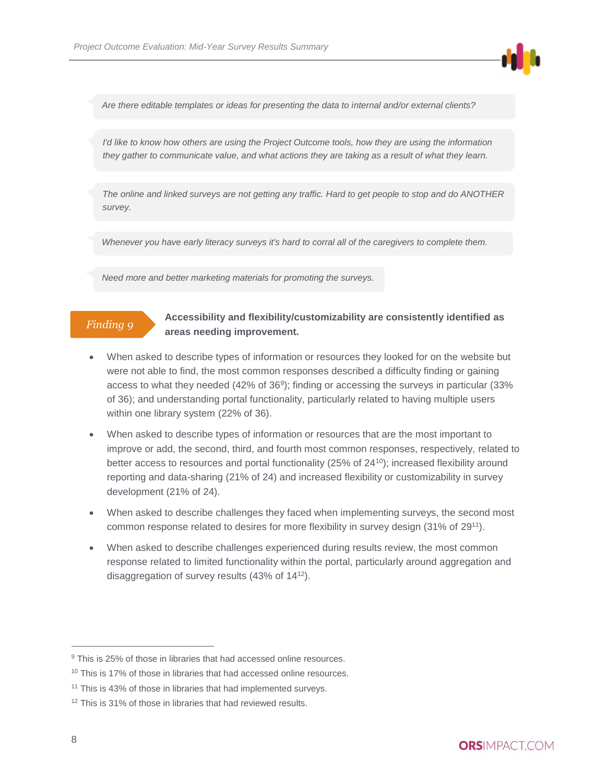

*Are there editable templates or ideas for presenting the data to internal and/or external clients?*

*I'd like to know how others are using the Project Outcome tools, how they are using the information they gather to communicate value, and what actions they are taking as a result of what they learn.* 

*The online and linked surveys are not getting any traffic. Hard to get people to stop and do ANOTHER survey.* 

*Whenever you have early literacy surveys it's hard to corral all of the caregivers to complete them.*

*Need more and better marketing materials for promoting the surveys.*

#### *Finding 9*

#### **Accessibility and flexibility/customizability are consistently identified as areas needing improvement.**

- When asked to describe types of information or resources they looked for on the website but were not able to find, the most common responses described a difficulty finding or gaining access to what they needed (42% of 36<sup>9</sup> ); finding or accessing the surveys in particular (33% of 36); and understanding portal functionality, particularly related to having multiple users within one library system (22% of 36).
- When asked to describe types of information or resources that are the most important to improve or add, the second, third, and fourth most common responses, respectively, related to better access to resources and portal functionality (25% of 24<sup>10</sup>); increased flexibility around reporting and data-sharing (21% of 24) and increased flexibility or customizability in survey development (21% of 24).
- When asked to describe challenges they faced when implementing surveys, the second most common response related to desires for more flexibility in survey design (31% of 29<sup>11</sup>).
- When asked to describe challenges experienced during results review, the most common response related to limited functionality within the portal, particularly around aggregation and disaggregation of survey results (43% of 14<sup>12</sup>).

<sup>&</sup>lt;sup>9</sup> This is 25% of those in libraries that had accessed online resources.

<sup>&</sup>lt;sup>10</sup> This is 17% of those in libraries that had accessed online resources.

<sup>&</sup>lt;sup>11</sup> This is 43% of those in libraries that had implemented surveys.

<sup>&</sup>lt;sup>12</sup> This is 31% of those in libraries that had reviewed results.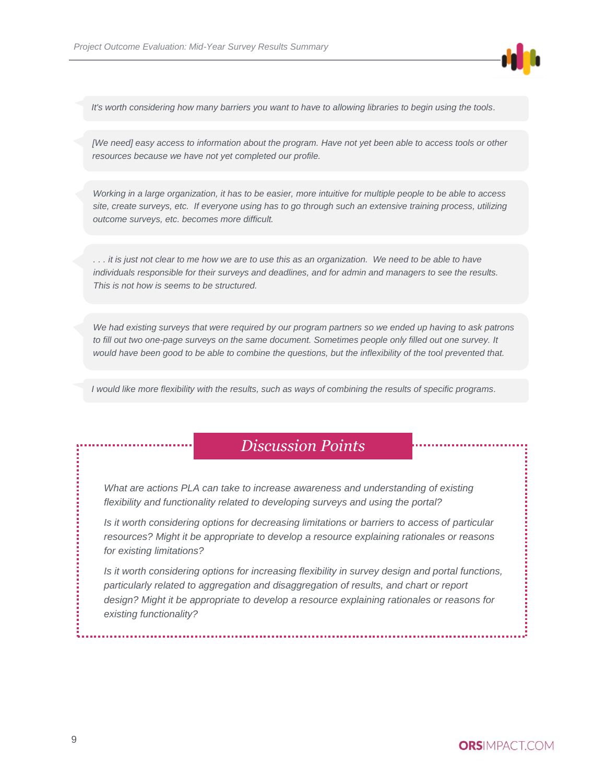

*It's worth considering how many barriers you want to have to allowing libraries to begin using the tools.*

*[We need] easy access to information about the program. Have not yet been able to access tools or other resources because we have not yet completed our profile.*

*Working in a large organization, it has to be easier, more intuitive for multiple people to be able to access site, create surveys, etc. If everyone using has to go through such an extensive training process, utilizing outcome surveys, etc. becomes more difficult.*

*. . . it is just not clear to me how we are to use this as an organization. We need to be able to have individuals responsible for their surveys and deadlines, and for admin and managers to see the results. This is not how is seems to be structured.*

*We had existing surveys that were required by our program partners so we ended up having to ask patrons*  to fill out two one-page surveys on the same document. Sometimes people only filled out one survey. It *would have been good to be able to combine the questions, but the inflexibility of the tool prevented that.*

*I would like more flexibility with the results, such as ways of combining the results of specific programs.*

# *Discussion Points*

*What are actions PLA can take to increase awareness and understanding of existing flexibility and functionality related to developing surveys and using the portal?*

*Is it worth considering options for decreasing limitations or barriers to access of particular resources? Might it be appropriate to develop a resource explaining rationales or reasons for existing limitations?*

*Is it worth considering options for increasing flexibility in survey design and portal functions, particularly related to aggregation and disaggregation of results, and chart or report design? Might it be appropriate to develop a resource explaining rationales or reasons for existing functionality?*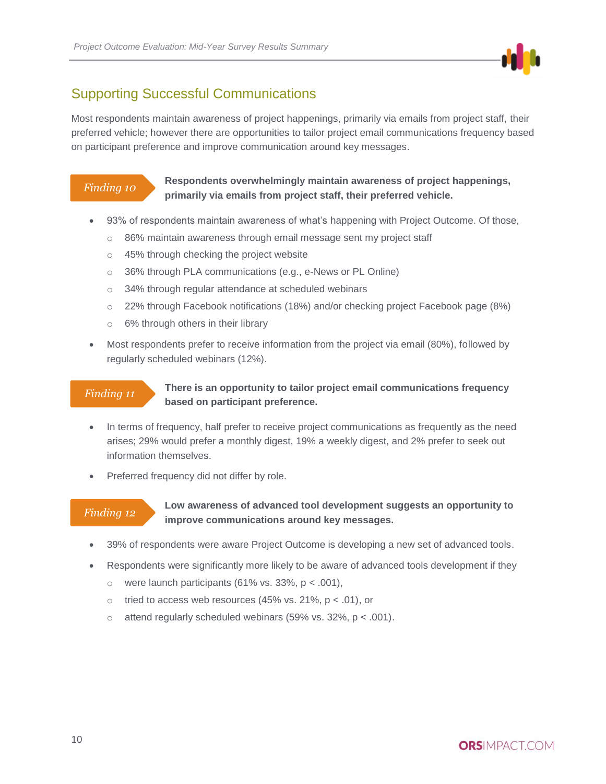

### <span id="page-9-0"></span>Supporting Successful Communications

Most respondents maintain awareness of project happenings, primarily via emails from project staff, their preferred vehicle; however there are opportunities to tailor project email communications frequency based on participant preference and improve communication around key messages.

#### *Finding 10*

**Respondents overwhelmingly maintain awareness of project happenings, primarily via emails from project staff, their preferred vehicle.**

- 93% of respondents maintain awareness of what's happening with Project Outcome. Of those,
	- o 86% maintain awareness through email message sent my project staff
	- o 45% through checking the project website
	- o 36% through PLA communications (e.g., e-News or PL Online)
	- o 34% through regular attendance at scheduled webinars
	- o 22% through Facebook notifications (18%) and/or checking project Facebook page (8%)
	- o 6% through others in their library
- Most respondents prefer to receive information from the project via email (80%), followed by regularly scheduled webinars (12%).

#### *Finding 11*

#### **There is an opportunity to tailor project email communications frequency based on participant preference.**

- In terms of frequency, half prefer to receive project communications as frequently as the need arises; 29% would prefer a monthly digest, 19% a weekly digest, and 2% prefer to seek out information themselves.
- Preferred frequency did not differ by role.

#### *Finding 12*

#### **Low awareness of advanced tool development suggests an opportunity to improve communications around key messages.**

- 39% of respondents were aware Project Outcome is developing a new set of advanced tools.
- Respondents were significantly more likely to be aware of advanced tools development if they
	- o were launch participants (61% vs. 33%,  $p < .001$ ),
	- $\circ$  tried to access web resources (45% vs. 21%,  $p < .01$ ), or
	- $\circ$  attend regularly scheduled webinars (59% vs. 32%, p < .001).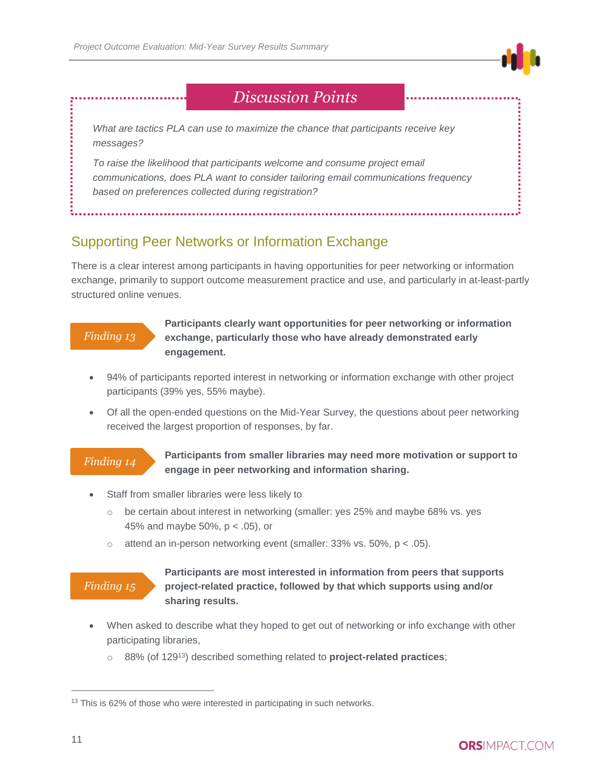

# *Discussion Points*

*What are tactics PLA can use to maximize the chance that participants receive key messages?*

*To raise the likelihood that participants welcome and consume project email communications, does PLA want to consider tailoring email communications frequency based on preferences collected during registration?*

## <span id="page-10-0"></span>Supporting Peer Networks or Information Exchange

There is a clear interest among participants in having opportunities for peer networking or information exchange, primarily to support outcome measurement practice and use, and particularly in at-least-partly structured online venues.

#### *Finding 13*

**Participants clearly want opportunities for peer networking or information exchange, particularly those who have already demonstrated early engagement.**

- 94% of participants reported interest in networking or information exchange with other project participants (39% yes, 55% maybe).
- Of all the open-ended questions on the Mid-Year Survey, the questions about peer networking received the largest proportion of responses, by far.

### *Finding 14*

**Participants from smaller libraries may need more motivation or support to engage in peer networking and information sharing.**

- Staff from smaller libraries were less likely to
	- $\circ$  be certain about interest in networking (smaller: yes 25% and maybe 68% vs. yes 45% and maybe 50%, p < .05), or
	- $\circ$  attend an in-person networking event (smaller: 33% vs. 50%, p < .05).

### *Finding 15*

#### **Participants are most interested in information from peers that supports project-related practice, followed by that which supports using and/or sharing results.**

- When asked to describe what they hoped to get out of networking or info exchange with other participating libraries,
	- o 88% (of 129 <sup>13</sup>) described something related to **project-related practices**;

<sup>&</sup>lt;sup>13</sup> This is 62% of those who were interested in participating in such networks.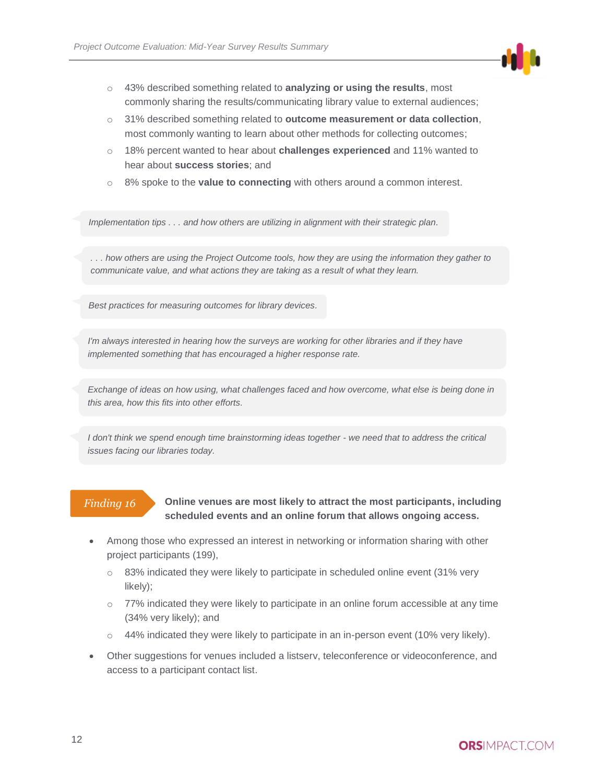

- o 43% described something related to **analyzing or using the results**, most commonly sharing the results/communicating library value to external audiences;
- o 31% described something related to **outcome measurement or data collection**, most commonly wanting to learn about other methods for collecting outcomes;
- o 18% percent wanted to hear about **challenges experienced** and 11% wanted to hear about **success stories**; and
- o 8% spoke to the **value to connecting** with others around a common interest.

*Implementation tips . . . and how others are utilizing in alignment with their strategic plan.*

*. . . how others are using the Project Outcome tools, how they are using the information they gather to communicate value, and what actions they are taking as a result of what they learn.*

*Best practices for measuring outcomes for library devices.*

*I'm always interested in hearing how the surveys are working for other libraries and if they have implemented something that has encouraged a higher response rate.*

*Exchange of ideas on how using, what challenges faced and how overcome, what else is being done in this area, how this fits into other efforts.*

*I don't think we spend enough time brainstorming ideas together - we need that to address the critical issues facing our libraries today.*

### *Finding 16*

#### **Online venues are most likely to attract the most participants, including scheduled events and an online forum that allows ongoing access.**

- Among those who expressed an interest in networking or information sharing with other project participants (199),
	- o 83% indicated they were likely to participate in scheduled online event (31% very likely);
	- $\circ$  77% indicated they were likely to participate in an online forum accessible at any time (34% very likely); and
	- $\circ$  44% indicated they were likely to participate in an in-person event (10% very likely).
- Other suggestions for venues included a listserv, teleconference or videoconference, and access to a participant contact list.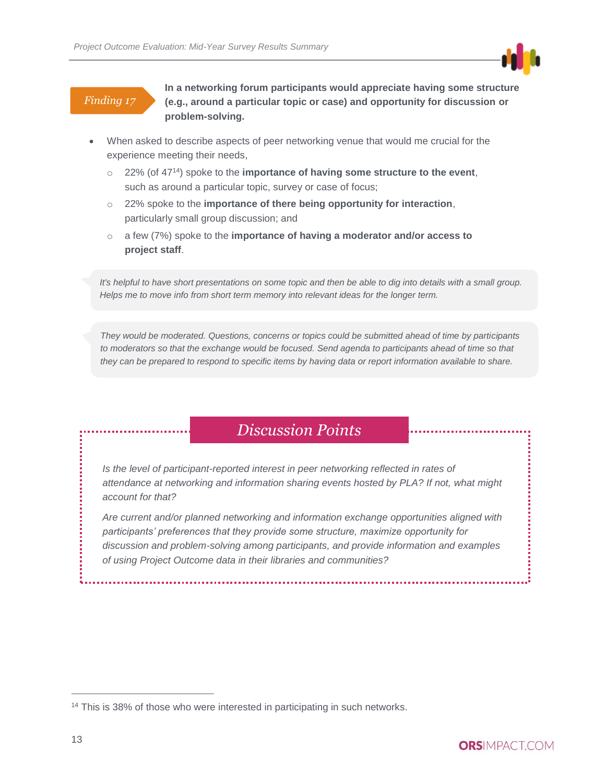### *Finding 17*

**In a networking forum participants would appreciate having some structure (e.g., around a particular topic or case) and opportunity for discussion or problem-solving.**

- When asked to describe aspects of peer networking venue that would me crucial for the experience meeting their needs,
	- o 22% (of 47<sup>14</sup>) spoke to the **importance of having some structure to the event**, such as around a particular topic, survey or case of focus;
	- o 22% spoke to the **importance of there being opportunity for interaction**, particularly small group discussion; and
	- o a few (7%) spoke to the **importance of having a moderator and/or access to project staff**.

*It's helpful to have short presentations on some topic and then be able to dig into details with a small group. Helps me to move info from short term memory into relevant ideas for the longer term.*

*They would be moderated. Questions, concerns or topics could be submitted ahead of time by participants*  to moderators so that the exchange would be focused. Send agenda to participants ahead of time so that *they can be prepared to respond to specific items by having data or report information available to share.*

# *Discussion Points*

Is the level of participant-reported interest in peer networking reflected in rates of *attendance at networking and information sharing events hosted by PLA? If not, what might account for that?* 

*Are current and/or planned networking and information exchange opportunities aligned with participants' preferences that they provide some structure, maximize opportunity for discussion and problem-solving among participants, and provide information and examples of using Project Outcome data in their libraries and communities?*

<sup>&</sup>lt;sup>14</sup> This is 38% of those who were interested in participating in such networks.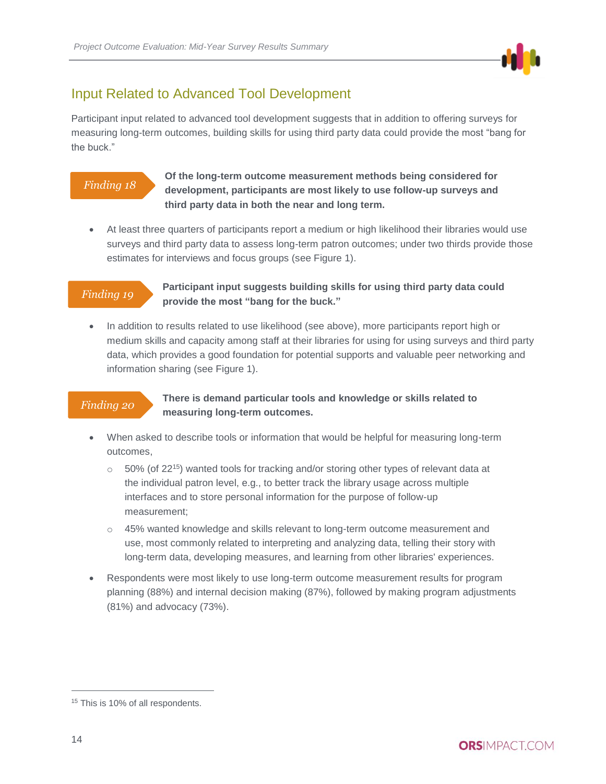

### <span id="page-13-0"></span>Input Related to Advanced Tool Development

Participant input related to advanced tool development suggests that in addition to offering surveys for measuring long-term outcomes, building skills for using third party data could provide the most "bang for the buck."

### *Finding 18*

#### **Of the long-term outcome measurement methods being considered for development, participants are most likely to use follow-up surveys and third party data in both the near and long term.**

 At least three quarters of participants report a medium or high likelihood their libraries would use surveys and third party data to assess long-term patron outcomes; under two thirds provide those estimates for interviews and focus groups (see Figure 1).

#### *Finding 19*

#### **Participant input suggests building skills for using third party data could provide the most "bang for the buck."**

 In addition to results related to use likelihood (see above), more participants report high or medium skills and capacity among staff at their libraries for using for using surveys and third party data, which provides a good foundation for potential supports and valuable peer networking and information sharing (see Figure 1).

### *Finding 20*

#### **There is demand particular tools and knowledge or skills related to measuring long-term outcomes.**

- When asked to describe tools or information that would be helpful for measuring long-term outcomes,
	- $\circ$  50% (of 22<sup>15</sup>) wanted tools for tracking and/or storing other types of relevant data at the individual patron level, e.g., to better track the library usage across multiple interfaces and to store personal information for the purpose of follow-up measurement;
	- o 45% wanted knowledge and skills relevant to long-term outcome measurement and use, most commonly related to interpreting and analyzing data, telling their story with long-term data, developing measures, and learning from other libraries' experiences.
- Respondents were most likely to use long-term outcome measurement results for program planning (88%) and internal decision making (87%), followed by making program adjustments (81%) and advocacy (73%).

<sup>&</sup>lt;sup>15</sup> This is 10% of all respondents.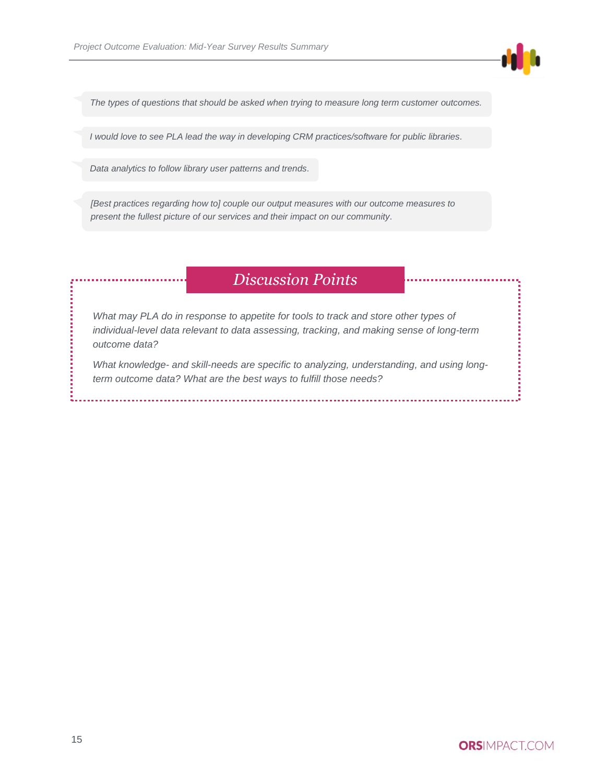

*The types of questions that should be asked when trying to measure long term customer outcomes.*

*I would love to see PLA lead the way in developing CRM practices/software for public libraries.*

*Data analytics to follow library user patterns and trends.*

*[Best practices regarding how to] couple our output measures with our outcome measures to present the fullest picture of our services and their impact on our community.*

# *Discussion Points*

*What may PLA do in response to appetite for tools to track and store other types of individual-level data relevant to data assessing, tracking, and making sense of long-term outcome data?*

*What knowledge- and skill-needs are specific to analyzing, understanding, and using longterm outcome data? What are the best ways to fulfill those needs?*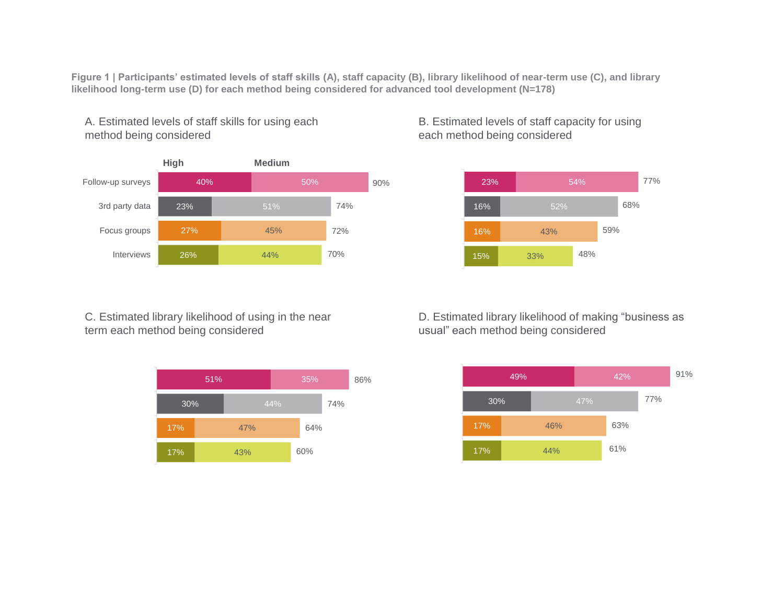**Figure 1 | Participants' estimated levels of staff skills (A), staff capacity (B), library likelihood of near-term use (C), and library likelihood long-term use (D) for each method being considered for advanced tool development (N=178)**



A. Estimated levels of staff skills for using each

method being considered

B. Estimated levels of staff capacity for using each method being considered



C. Estimated library likelihood of using in the near term each method being considered



D. Estimated library likelihood of making "business as usual" each method being considered

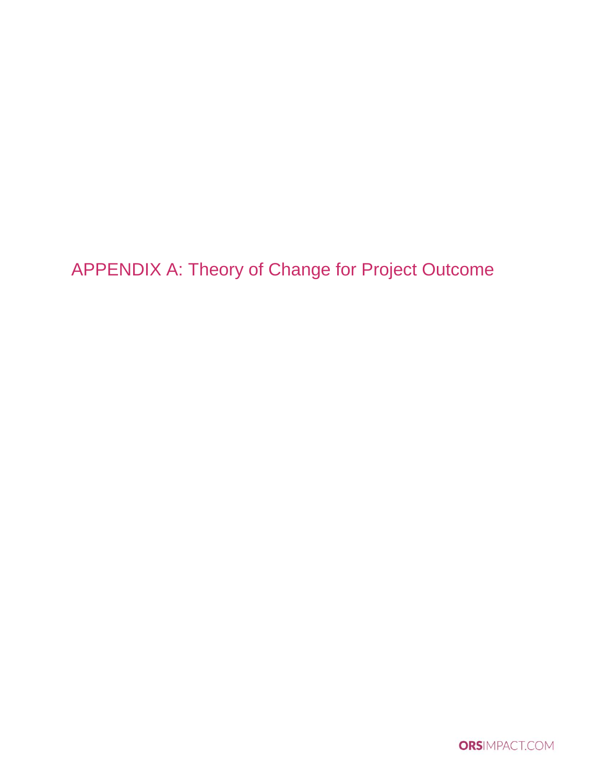<span id="page-16-0"></span>APPENDIX A: Theory of Change for Project Outcome